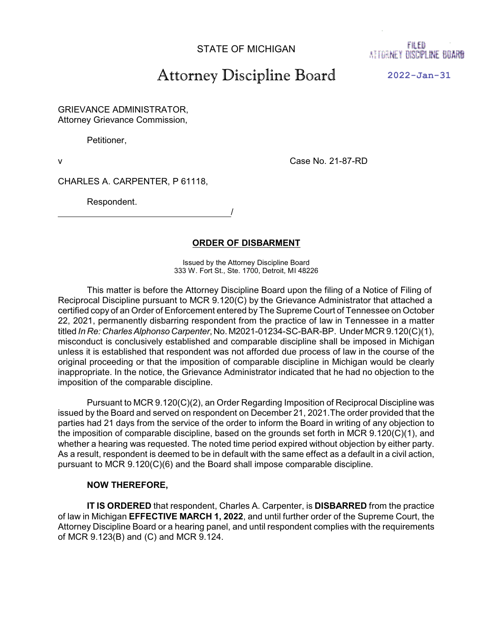STATE OF MICHIGAN

FILED AT FORNEY DISCIPLINE BOARD

## Attorney Discipline Board

**2022-Jan-31**

GRIEVANCE ADMINISTRATOR, Attorney Grievance Commission,

Petitioner,

v Case No. 21-87-RD

CHARLES A. CARPENTER, P 61118,

/

Respondent.

**ORDER OF DISBARMENT**

Issued by the Attorney Discipline Board 333 W. Fort St., Ste. 1700, Detroit, MI 48226

This matter is before the Attorney Discipline Board upon the filing of a Notice of Filing of Reciprocal Discipline pursuant to MCR 9.120(C) by the Grievance Administrator that attached a certified copy of an Order of Enforcement entered by The Supreme Court of Tennessee on October 22, 2021, permanently disbarring respondent from the practice of law in Tennessee in a matter titled *In Re: CharlesAlphonso Carpenter*, No. M2021-01234-SC-BAR-BP. Under MCR 9.120(C)(1), misconduct is conclusively established and comparable discipline shall be imposed in Michigan unless it is established that respondent was not afforded due process of law in the course of the original proceeding or that the imposition of comparable discipline in Michigan would be clearly inappropriate. In the notice, the Grievance Administrator indicated that he had no objection to the imposition of the comparable discipline.

Pursuant to MCR 9.120(C)(2), an Order Regarding Imposition of Reciprocal Discipline was issued by the Board and served on respondent on December 21, 2021.The order provided that the parties had 21 days from the service of the order to inform the Board in writing of any objection to the imposition of comparable discipline, based on the grounds set forth in MCR 9.120(C)(1), and whether a hearing was requested. The noted time period expired without objection by either party. As a result, respondent is deemed to be in default with the same effect as a default in a civil action, pursuant to MCR 9.120(C)(6) and the Board shall impose comparable discipline.

## **NOW THEREFORE,**

**IT IS ORDERED** that respondent, Charles A. Carpenter, is **DISBARRED** from the practice of law in Michigan **EFFECTIVE MARCH 1, 2022**, and until further order of the Supreme Court, the Attorney Discipline Board or a hearing panel, and until respondent complies with the requirements of MCR 9.123(B) and (C) and MCR 9.124.